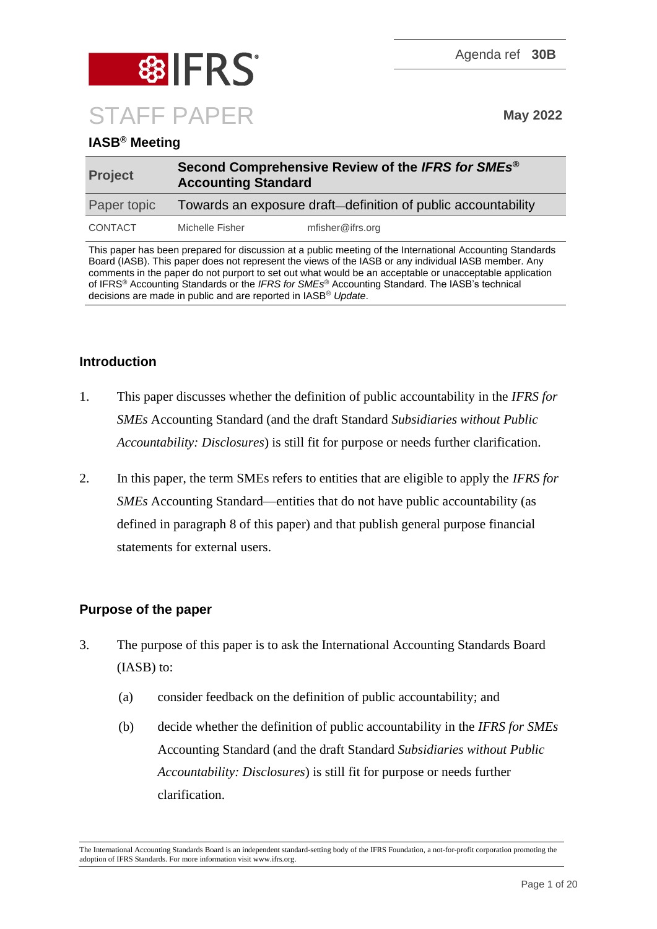

# **IASB® Meeting**

| <b>Project</b> |                                                               | Second Comprehensive Review of the IFRS for SMEs <sup>®</sup><br><b>Accounting Standard</b> |  |
|----------------|---------------------------------------------------------------|---------------------------------------------------------------------------------------------|--|
| Paper topic    | Towards an exposure draft-definition of public accountability |                                                                                             |  |
| CONTACT        | Michelle Fisher                                               | mfisher@ifrs.org                                                                            |  |

This paper has been prepared for discussion at a public meeting of the International Accounting Standards Board (IASB). This paper does not represent the views of the IASB or any individual IASB member. Any comments in the paper do not purport to set out what would be an acceptable or unacceptable application of IFRS® Accounting Standards or the *IFRS for SMEs*® Accounting Standard. The IASB's technical decisions are made in public and are reported in IASB® *Update*.

# **Introduction**

- 1. This paper discusses whether the definition of public accountability in the *IFRS for SMEs* Accounting Standard (and the draft Standard *Subsidiaries without Public Accountability: Disclosures*) is still fit for purpose or needs further clarification.
- 2. In this paper, the term SMEs refers to entities that are eligible to apply the *IFRS for SMEs* Accounting Standard—entities that do not have public accountability (as defined in paragraph [8](#page-2-0) of this paper) and that publish general purpose financial statements for external users.

# **Purpose of the paper**

- 3. The purpose of this paper is to ask the International Accounting Standards Board (IASB) to:
	- (a) consider feedback on the definition of public accountability; and
	- (b) decide whether the definition of public accountability in the *IFRS for SMEs* Accounting Standard (and the draft Standard *Subsidiaries without Public Accountability: Disclosures*) is still fit for purpose or needs further clarification.

The International Accounting Standards Board is an independent standard-setting body of the IFRS Foundation, a not-for-profit corporation promoting the adoption of IFRS Standards. For more information visit www.ifrs.org.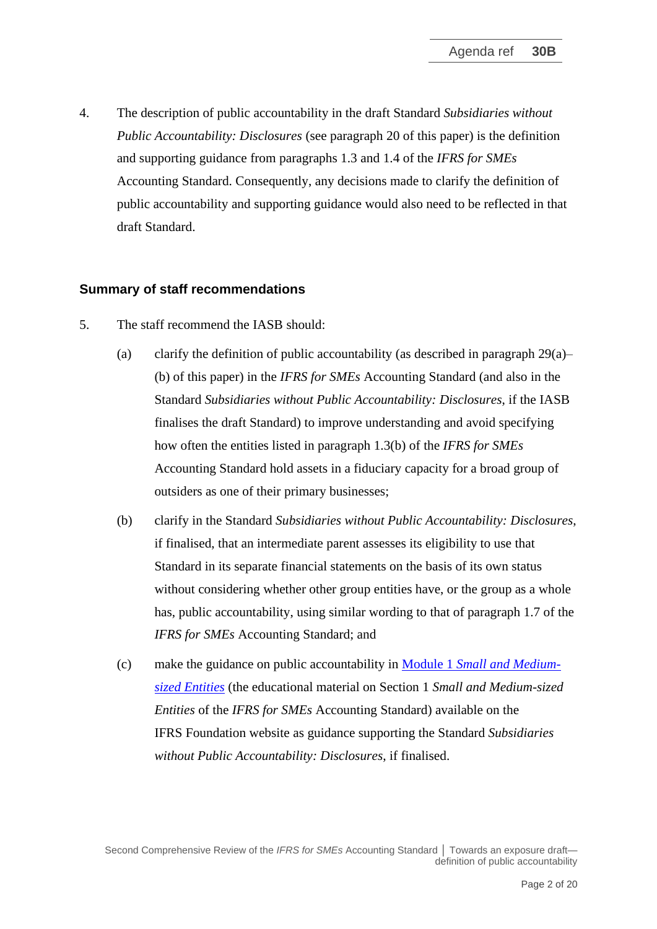4. The description of public accountability in the draft Standard *Subsidiaries without Public Accountability: Disclosures* (see paragraph [20](#page-7-0) of this paper) is the definition and supporting guidance from paragraphs 1.3 and 1.4 of the *IFRS for SMEs*  Accounting Standard. Consequently, any decisions made to clarify the definition of public accountability and supporting guidance would also need to be reflected in that draft Standard.

### **Summary of staff recommendations**

- 5. The staff recommend the IASB should:
	- (a) clarify the definition of public accountability (as described in paragraph [29\(](#page-11-0)a)– (b) of this paper) in the *IFRS for SMEs* Accounting Standard (and also in the Standard *Subsidiaries without Public Accountability: Disclosures*, if the IASB finalises the draft Standard) to improve understanding and avoid specifying how often the entities listed in paragraph 1.3(b) of the *IFRS for SMEs* Accounting Standard hold assets in a fiduciary capacity for a broad group of outsiders as one of their primary businesses;
	- (b) clarify in the Standard *Subsidiaries without Public Accountability: Disclosures*, if finalised, that an intermediate parent assesses its eligibility to use that Standard in its separate financial statements on the basis of its own status without considering whether other group entities have, or the group as a whole has, public accountability, using similar wording to that of paragraph 1.7 of the *IFRS for SMEs* Accounting Standard; and
	- (c) make the guidance on public accountability in Module 1 *[Small and Medium](https://www.ifrs.org/content/dam/ifrs/supporting-implementation/smes/module-01.pdf)[sized Entities](https://www.ifrs.org/content/dam/ifrs/supporting-implementation/smes/module-01.pdf)* (the educational material on Section 1 *Small and Medium-sized Entities* of the *IFRS for SMEs* Accounting Standard) available on the IFRS Foundation website as guidance supporting the Standard *Subsidiaries without Public Accountability: Disclosures*, if finalised.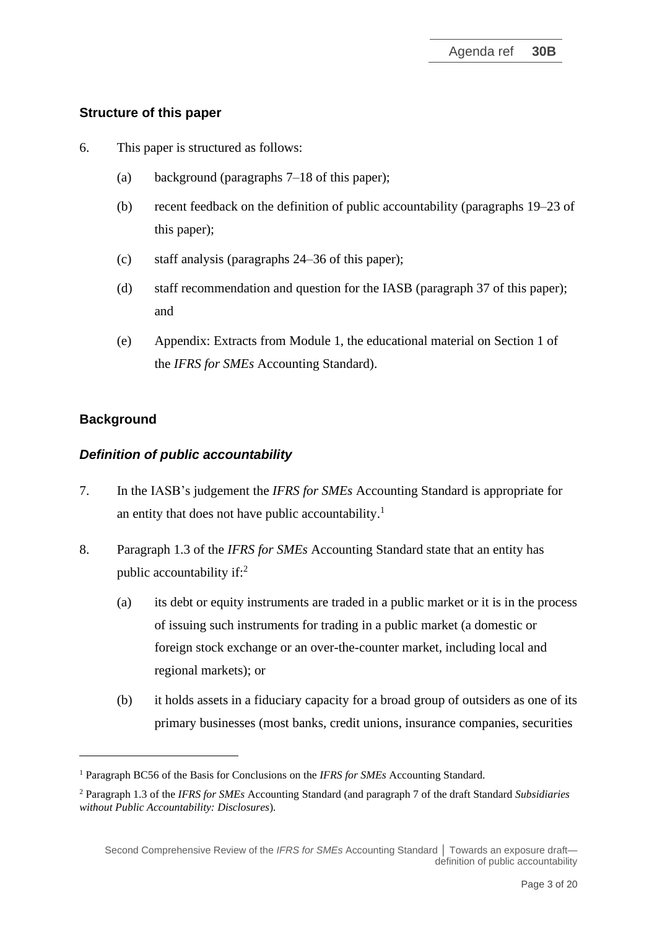# **Structure of this paper**

- 6. This paper is structured as follows:
	- (a) background (paragraphs 7–18 of this paper);
	- (b) recent feedback on the definition of public accountability (paragraphs 19–23 of this paper);
	- (c) staff analysis (paragraphs 24–36 of this paper);
	- (d) staff recommendation and question for the IASB (paragraph 37 of this paper); and
	- (e) Appendix: Extracts from Module 1, the educational material on Section 1 of the *IFRS for SMEs* Accounting Standard).

# **Background**

# *Definition of public accountability*

- 7. In the IASB's judgement the *IFRS for SMEs* Accounting Standard is appropriate for an entity that does not have public accountability.<sup>1</sup>
- <span id="page-2-0"></span>8. Paragraph 1.3 of the *IFRS for SMEs* Accounting Standard state that an entity has public accountability if:<sup>2</sup>
	- (a) its debt or equity instruments are traded in a public market or it is in the process of issuing such instruments for trading in a public market (a domestic or foreign stock exchange or an over-the-counter market, including local and regional markets); or
	- (b) it holds assets in a fiduciary capacity for a broad group of outsiders as one of its primary businesses (most banks, credit unions, insurance companies, securities

<sup>1</sup> Paragraph BC56 of the Basis for Conclusions on the *IFRS for SMEs* Accounting Standard.

<sup>2</sup> Paragraph 1.3 of the *IFRS for SMEs* Accounting Standard (and paragraph 7 of the draft Standard *Subsidiaries without Public Accountability: Disclosures*)*.*

Second Comprehensive Review of the *IFRS for SMEs* Accounting Standard │ Towards an exposure draft definition of public accountability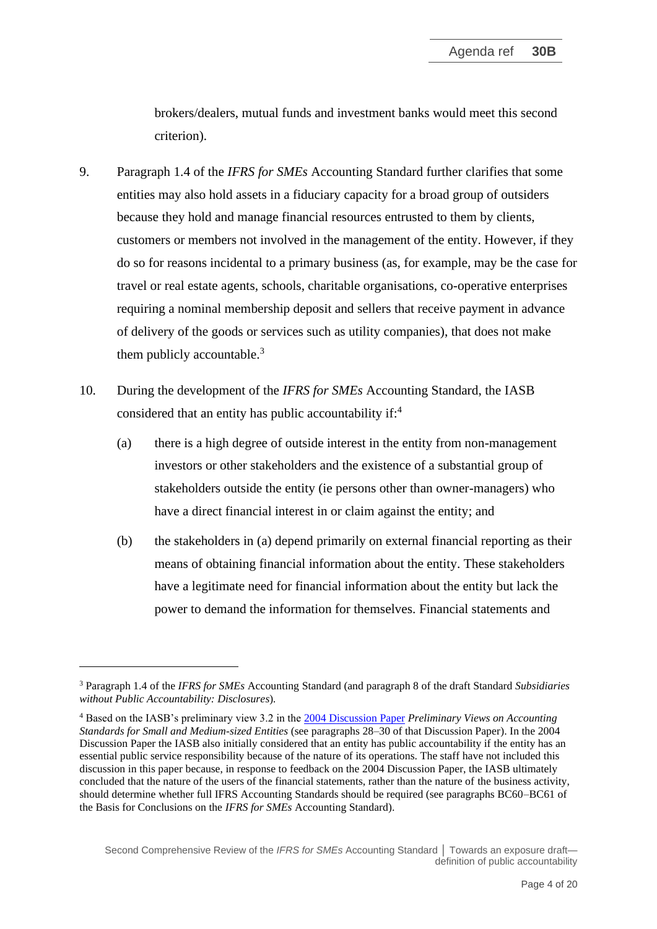brokers/dealers, mutual funds and investment banks would meet this second criterion).

- <span id="page-3-0"></span>9. Paragraph 1.4 of the *IFRS for SMEs* Accounting Standard further clarifies that some entities may also hold assets in a fiduciary capacity for a broad group of outsiders because they hold and manage financial resources entrusted to them by clients, customers or members not involved in the management of the entity. However, if they do so for reasons incidental to a primary business (as, for example, may be the case for travel or real estate agents, schools, charitable organisations, co-operative enterprises requiring a nominal membership deposit and sellers that receive payment in advance of delivery of the goods or services such as utility companies), that does not make them publicly accountable.<sup>3</sup>
- <span id="page-3-1"></span>10. During the development of the *IFRS for SMEs* Accounting Standard, the IASB considered that an entity has public accountability if:<sup>4</sup>
	- (a) there is a high degree of outside interest in the entity from non-management investors or other stakeholders and the existence of a substantial group of stakeholders outside the entity (ie persons other than owner-managers) who have a direct financial interest in or claim against the entity; and
	- (b) the stakeholders in (a) depend primarily on external financial reporting as their means of obtaining financial information about the entity. These stakeholders have a legitimate need for financial information about the entity but lack the power to demand the information for themselves. Financial statements and

<sup>3</sup> Paragraph 1.4 of the *IFRS for SMEs* Accounting Standard (and paragraph 8 of the draft Standard *Subsidiaries without Public Accountability: Disclosures*)*.*

<sup>4</sup> Based on the IASB's preliminary view 3.2 in the 2004 [Discussion Paper](https://www.ifrs.org/content/dam/ifrs/project/ifrs-for-smes-standard-2009/dponsmes.pdf) *Preliminary Views on Accounting Standards for Small and Medium-sized Entities* (see paragraphs 28–30 of that Discussion Paper). In the 2004 Discussion Paper the IASB also initially considered that an entity has public accountability if the entity has an essential public service responsibility because of the nature of its operations. The staff have not included this discussion in this paper because, in response to feedback on the 2004 Discussion Paper, the IASB ultimately concluded that the nature of the users of the financial statements, rather than the nature of the business activity, should determine whether full IFRS Accounting Standards should be required (see paragraphs BC60–BC61 of the Basis for Conclusions on the *IFRS for SMEs* Accounting Standard).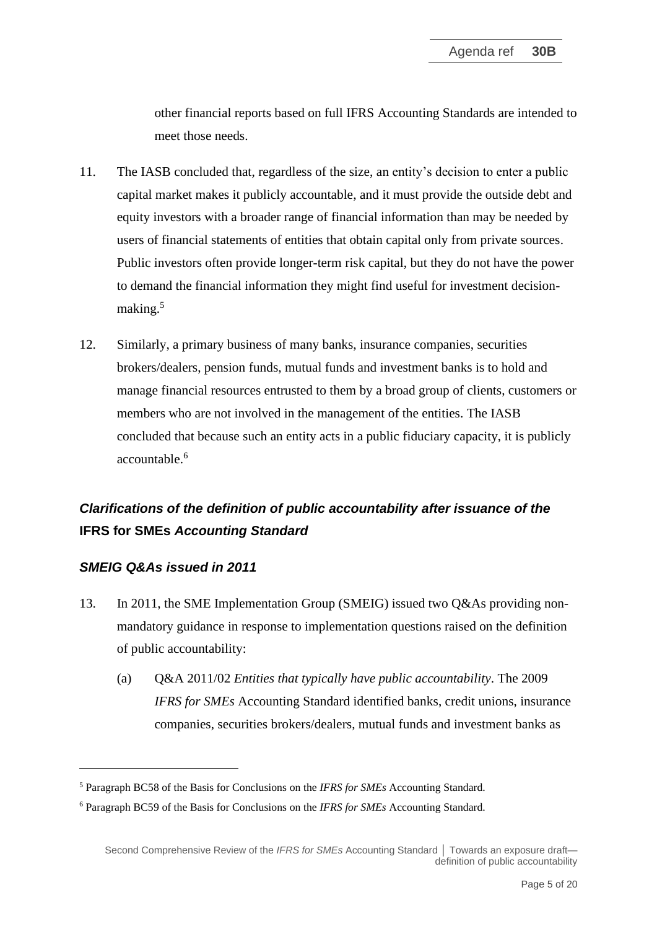other financial reports based on full IFRS Accounting Standards are intended to meet those needs.

- 11. The IASB concluded that, regardless of the size, an entity's decision to enter a public capital market makes it publicly accountable, and it must provide the outside debt and equity investors with a broader range of financial information than may be needed by users of financial statements of entities that obtain capital only from private sources. Public investors often provide longer-term risk capital, but they do not have the power to demand the financial information they might find useful for investment decisionmaking.<sup>5</sup>
- 12. Similarly, a primary business of many banks, insurance companies, securities brokers/dealers, pension funds, mutual funds and investment banks is to hold and manage financial resources entrusted to them by a broad group of clients, customers or members who are not involved in the management of the entities. The IASB concluded that because such an entity acts in a public fiduciary capacity, it is publicly accountable.<sup>6</sup>

# *Clarifications of the definition of public accountability after issuance of the*  **IFRS for SMEs** *Accounting Standard*

## *SMEIG Q&As issued in 2011*

- 13. In 2011, the SME Implementation Group (SMEIG) issued two Q&As providing nonmandatory guidance in response to implementation questions raised on the definition of public accountability:
	- (a) Q&A 2011/02 *Entities that typically have public accountability*. The 2009 *IFRS for SMEs* Accounting Standard identified banks, credit unions, insurance companies, securities brokers/dealers, mutual funds and investment banks as

<sup>5</sup> Paragraph BC58 of the Basis for Conclusions on the *IFRS for SMEs* Accounting Standard.

<sup>6</sup> Paragraph BC59 of the Basis for Conclusions on the *IFRS for SMEs* Accounting Standard.

Second Comprehensive Review of the *IFRS for SMEs* Accounting Standard | Towards an exposure draft definition of public accountability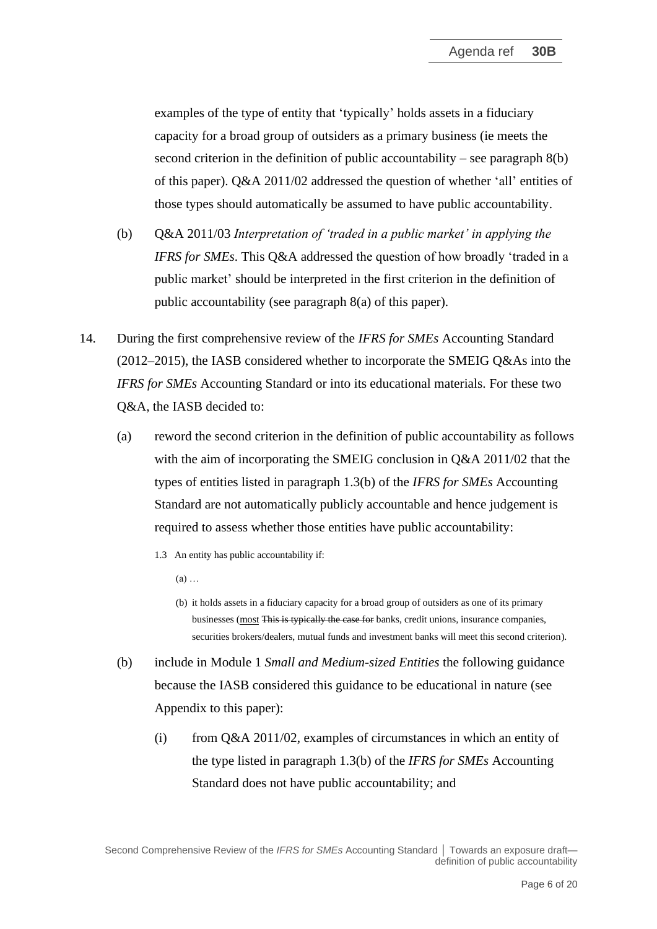examples of the type of entity that 'typically' holds assets in a fiduciary capacity for a broad group of outsiders as a primary business (ie meets the second criterion in the definition of public accountability – see paragraph [8\(](#page-2-0)b) of this paper). Q&A 2011/02 addressed the question of whether 'all' entities of those types should automatically be assumed to have public accountability.

- (b) Q&A 2011/03 *Interpretation of 'traded in a public market' in applying the IFRS for SMEs*. This Q&A addressed the question of how broadly 'traded in a public market' should be interpreted in the first criterion in the definition of public accountability (see paragraph [8\(](#page-2-0)a) of this paper).
- <span id="page-5-0"></span>14. During the first comprehensive review of the *IFRS for SMEs* Accounting Standard  $(2012–2015)$ , the IASB considered whether to incorporate the SMEIG Q&As into the *IFRS for SMEs* Accounting Standard or into its educational materials. For these two Q&A, the IASB decided to:
	- (a) reword the second criterion in the definition of public accountability as follows with the aim of incorporating the SMEIG conclusion in Q&A 2011/02 that the types of entities listed in paragraph 1.3(b) of the *IFRS for SMEs* Accounting Standard are not automatically publicly accountable and hence judgement is required to assess whether those entities have public accountability:
		- 1.3 An entity has public accountability if:
			- (a) …
			- (b) it holds assets in a fiduciary capacity for a broad group of outsiders as one of its primary businesses (most This is typically the case for banks, credit unions, insurance companies, securities brokers/dealers, mutual funds and investment banks will meet this second criterion).
	- (b) include in Module 1 *Small and Medium-sized Entities* the following guidance because the IASB considered this guidance to be educational in nature (see Appendix to this paper):
		- (i) from Q&A 2011/02, examples of circumstances in which an entity of the type listed in paragraph 1.3(b) of the *IFRS for SMEs* Accounting Standard does not have public accountability; and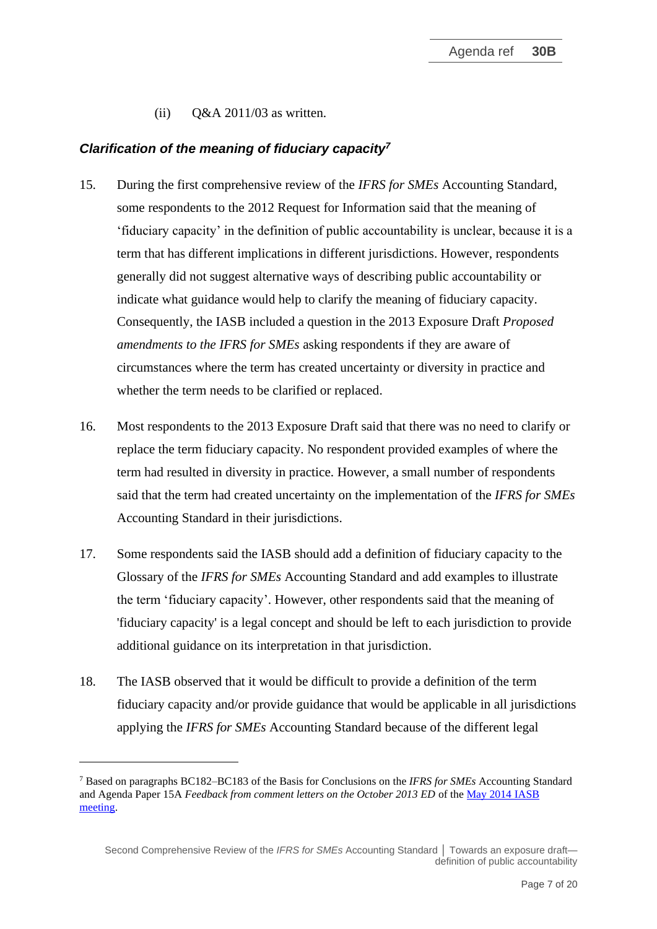(ii)  $Q&A\ 2011/03$  as written.

## *Clarification of the meaning of fiduciary capacity<sup>7</sup>*

- 15. During the first comprehensive review of the *IFRS for SMEs* Accounting Standard, some respondents to the 2012 Request for Information said that the meaning of 'fiduciary capacity' in the definition of public accountability is unclear, because it is a term that has different implications in different jurisdictions. However, respondents generally did not suggest alternative ways of describing public accountability or indicate what guidance would help to clarify the meaning of fiduciary capacity. Consequently, the IASB included a question in the 2013 Exposure Draft *Proposed amendments to the IFRS for SMEs* asking respondents if they are aware of circumstances where the term has created uncertainty or diversity in practice and whether the term needs to be clarified or replaced.
- 16. Most respondents to the 2013 Exposure Draft said that there was no need to clarify or replace the term fiduciary capacity. No respondent provided examples of where the term had resulted in diversity in practice. However, a small number of respondents said that the term had created uncertainty on the implementation of the *IFRS for SMEs*  Accounting Standard in their jurisdictions.
- 17. Some respondents said the IASB should add a definition of fiduciary capacity to the Glossary of the *IFRS for SMEs* Accounting Standard and add examples to illustrate the term 'fiduciary capacity'. However, other respondents said that the meaning of 'fiduciary capacity' is a legal concept and should be left to each jurisdiction to provide additional guidance on its interpretation in that jurisdiction.
- <span id="page-6-0"></span>18. The IASB observed that it would be difficult to provide a definition of the term fiduciary capacity and/or provide guidance that would be applicable in all jurisdictions applying the *IFRS for SMEs* Accounting Standard because of the different legal

<sup>7</sup> Based on paragraphs BC182–BC183 of the Basis for Conclusions on the *IFRS for SMEs* Accounting Standard and Agenda Paper 15A *Feedback from comment letters on the October 2013 ED* of th[e May 2014 IASB](https://www.ifrs.org/content/dam/ifrs/meetings/2014/may/iasb/2015-ifrs-for-smes/ap15a-ifrs-for-smes-feedback-from-comment-letters.pdf)  [meeting.](https://www.ifrs.org/content/dam/ifrs/meetings/2014/may/iasb/2015-ifrs-for-smes/ap15a-ifrs-for-smes-feedback-from-comment-letters.pdf)

Second Comprehensive Review of the *IFRS for SMEs* Accounting Standard │ Towards an exposure draft definition of public accountability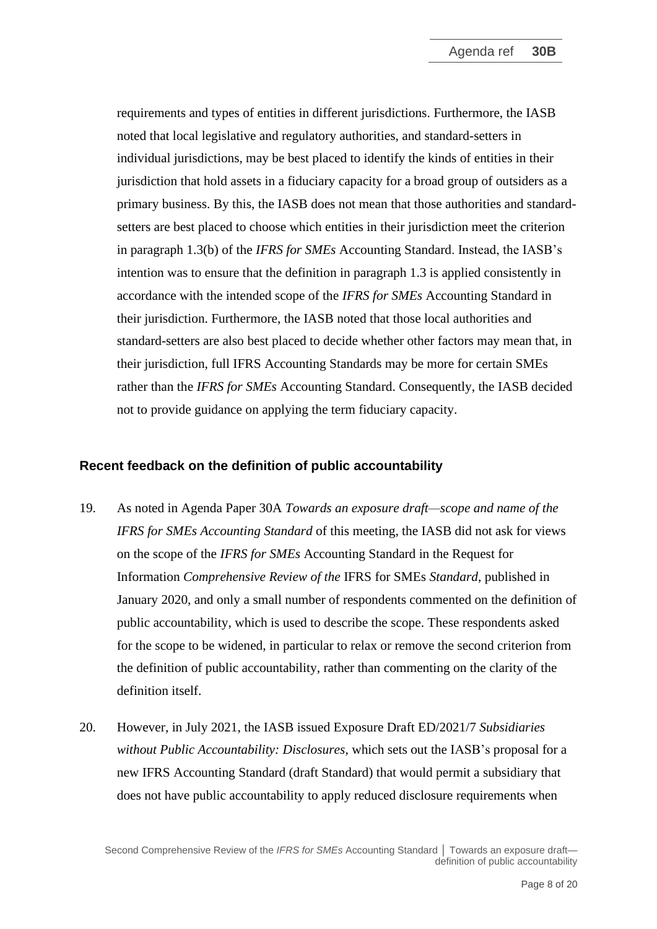requirements and types of entities in different jurisdictions. Furthermore, the IASB noted that local legislative and regulatory authorities, and standard-setters in individual jurisdictions, may be best placed to identify the kinds of entities in their jurisdiction that hold assets in a fiduciary capacity for a broad group of outsiders as a primary business. By this, the IASB does not mean that those authorities and standardsetters are best placed to choose which entities in their jurisdiction meet the criterion in paragraph 1.3(b) of the *IFRS for SMEs* Accounting Standard. Instead, the IASB's intention was to ensure that the definition in paragraph 1.3 is applied consistently in accordance with the intended scope of the *IFRS for SMEs* Accounting Standard in their jurisdiction. Furthermore, the IASB noted that those local authorities and standard-setters are also best placed to decide whether other factors may mean that, in their jurisdiction, full IFRS Accounting Standards may be more for certain SMEs rather than the *IFRS for SMEs* Accounting Standard. Consequently, the IASB decided not to provide guidance on applying the term fiduciary capacity.

### **Recent feedback on the definition of public accountability**

- 19. As noted in Agenda Paper 30A *Towards an exposure draft—scope and name of the IFRS for SMEs Accounting Standard* of this meeting, the IASB did not ask for views on the scope of the *IFRS for SMEs* Accounting Standard in the Request for Information *Comprehensive Review of the* IFRS for SMEs *Standard*, published in January 2020, and only a small number of respondents commented on the definition of public accountability, which is used to describe the scope. These respondents asked for the scope to be widened, in particular to relax or remove the second criterion from the definition of public accountability, rather than commenting on the clarity of the definition itself.
- <span id="page-7-0"></span>20. However, in July 2021, the IASB issued Exposure Draft ED/2021/7 *Subsidiaries without Public Accountability: Disclosures*, which sets out the IASB's proposal for a new IFRS Accounting Standard (draft Standard) that would permit a subsidiary that does not have public accountability to apply reduced disclosure requirements when

Second Comprehensive Review of the *IFRS for SMEs* Accounting Standard | Towards an exposure draft definition of public accountability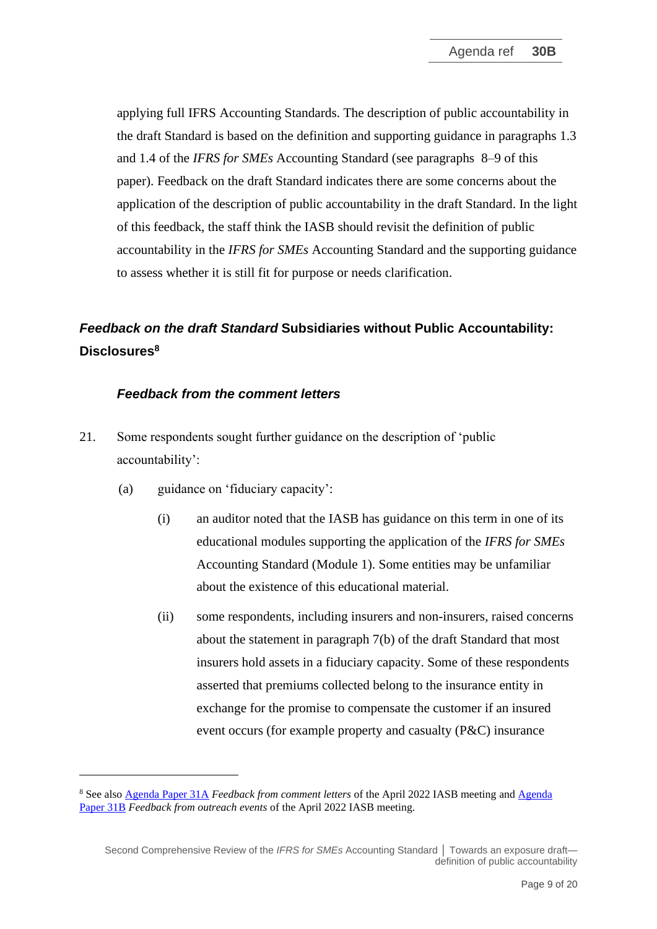applying full IFRS Accounting Standards. The description of public accountability in the draft Standard is based on the definition and supporting guidance in paragraphs 1.3 and 1.4 of the *IFRS for SMEs* Accounting Standard (see paragraphs [8](#page-2-0)[–9](#page-3-0) of this paper). Feedback on the draft Standard indicates there are some concerns about the application of the description of public accountability in the draft Standard. In the light of this feedback, the staff think the IASB should revisit the definition of public accountability in the *IFRS for SMEs* Accounting Standard and the supporting guidance to assess whether it is still fit for purpose or needs clarification.

# *Feedback on the draft Standard* **Subsidiaries without Public Accountability: Disclosures<sup>8</sup>**

### *Feedback from the comment letters*

- 21. Some respondents sought further guidance on the description of 'public accountability':
	- (a) guidance on 'fiduciary capacity':
		- (i) an auditor noted that the IASB has guidance on this term in one of its educational modules supporting the application of the *IFRS for SMEs* Accounting Standard (Module 1). Some entities may be unfamiliar about the existence of this educational material.
		- (ii) some respondents, including insurers and non-insurers, raised concerns about the statement in paragraph 7(b) of the draft Standard that most insurers hold assets in a fiduciary capacity. Some of these respondents asserted that premiums collected belong to the insurance entity in exchange for the promise to compensate the customer if an insured event occurs (for example property and casualty (P&C) insurance

<sup>8</sup> See also [Agenda Paper 31A](https://www.ifrs.org/content/dam/ifrs/meetings/2022/april/iasb/ap31a-feedback-from-comment-letters.pdf) *Feedback from comment letters* of the April 2022 IASB meeting an[d Agenda](https://www.ifrs.org/content/dam/ifrs/meetings/2022/april/iasb/ap31b-subsidiaries-feedback-from-outreach-events-final.pdf)  [Paper 31B](https://www.ifrs.org/content/dam/ifrs/meetings/2022/april/iasb/ap31b-subsidiaries-feedback-from-outreach-events-final.pdf) *Feedback from outreach events* of the April 2022 IASB meeting*.*

Second Comprehensive Review of the *IFRS for SMEs* Accounting Standard | Towards an exposure draft definition of public accountability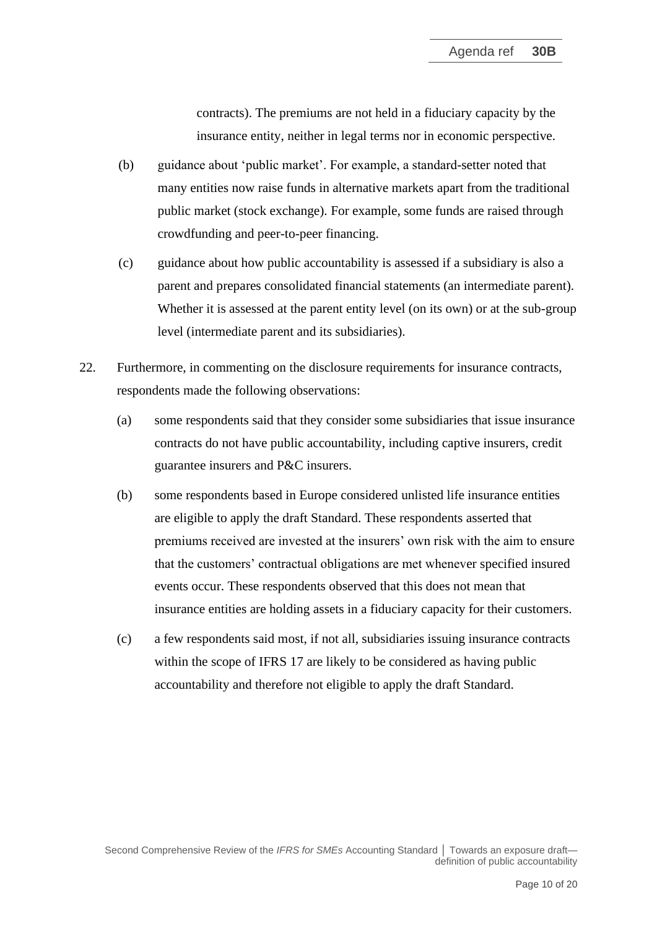contracts). The premiums are not held in a fiduciary capacity by the insurance entity, neither in legal terms nor in economic perspective.

- (b) guidance about 'public market'. For example, a standard-setter noted that many entities now raise funds in alternative markets apart from the traditional public market (stock exchange). For example, some funds are raised through crowdfunding and peer-to-peer financing.
- (c) guidance about how public accountability is assessed if a subsidiary is also a parent and prepares consolidated financial statements (an intermediate parent). Whether it is assessed at the parent entity level (on its own) or at the sub-group level (intermediate parent and its subsidiaries).
- <span id="page-9-0"></span>22. Furthermore, in commenting on the disclosure requirements for insurance contracts, respondents made the following observations:
	- (a) some respondents said that they consider some subsidiaries that issue insurance contracts do not have public accountability, including captive insurers, credit guarantee insurers and P&C insurers.
	- (b) some respondents based in Europe considered unlisted life insurance entities are eligible to apply the draft Standard. These respondents asserted that premiums received are invested at the insurers' own risk with the aim to ensure that the customers' contractual obligations are met whenever specified insured events occur. These respondents observed that this does not mean that insurance entities are holding assets in a fiduciary capacity for their customers.
	- (c) a few respondents said most, if not all, subsidiaries issuing insurance contracts within the scope of IFRS 17 are likely to be considered as having public accountability and therefore not eligible to apply the draft Standard.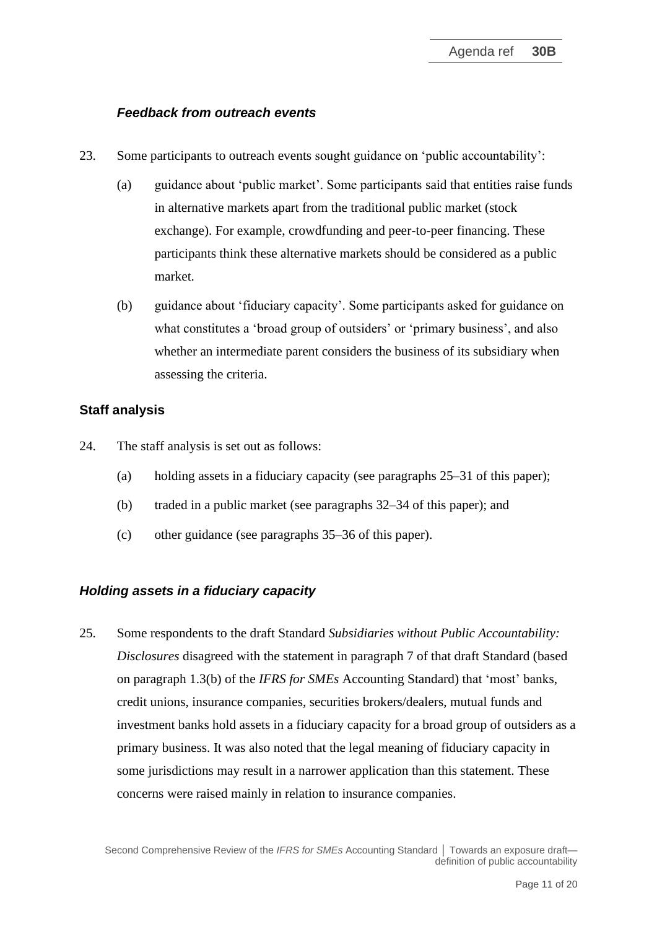### *Feedback from outreach events*

- 23. Some participants to outreach events sought guidance on 'public accountability':
	- (a) guidance about 'public market'. Some participants said that entities raise funds in alternative markets apart from the traditional public market (stock exchange). For example, crowdfunding and peer-to-peer financing. These participants think these alternative markets should be considered as a public market.
	- (b) guidance about 'fiduciary capacity'. Some participants asked for guidance on what constitutes a 'broad group of outsiders' or 'primary business', and also whether an intermediate parent considers the business of its subsidiary when assessing the criteria.

#### **Staff analysis**

- 24. The staff analysis is set out as follows:
	- (a) holding assets in a fiduciary capacity (see paragraphs [25](#page-10-0)[–31](#page-13-0) of this paper);
	- (b) traded in a public market (see paragraphs [32–](#page-13-1)[34](#page-14-0) of this paper); and
	- (c) other guidance (see paragraphs [35](#page-15-0)[–36](#page-15-1) of this paper).

#### *Holding assets in a fiduciary capacity*

<span id="page-10-0"></span>25. Some respondents to the draft Standard *Subsidiaries without Public Accountability: Disclosures* disagreed with the statement in paragraph 7 of that draft Standard (based on paragraph 1.3(b) of the *IFRS for SMEs* Accounting Standard) that 'most' banks, credit unions, insurance companies, securities brokers/dealers, mutual funds and investment banks hold assets in a fiduciary capacity for a broad group of outsiders as a primary business. It was also noted that the legal meaning of fiduciary capacity in some jurisdictions may result in a narrower application than this statement. These concerns were raised mainly in relation to insurance companies.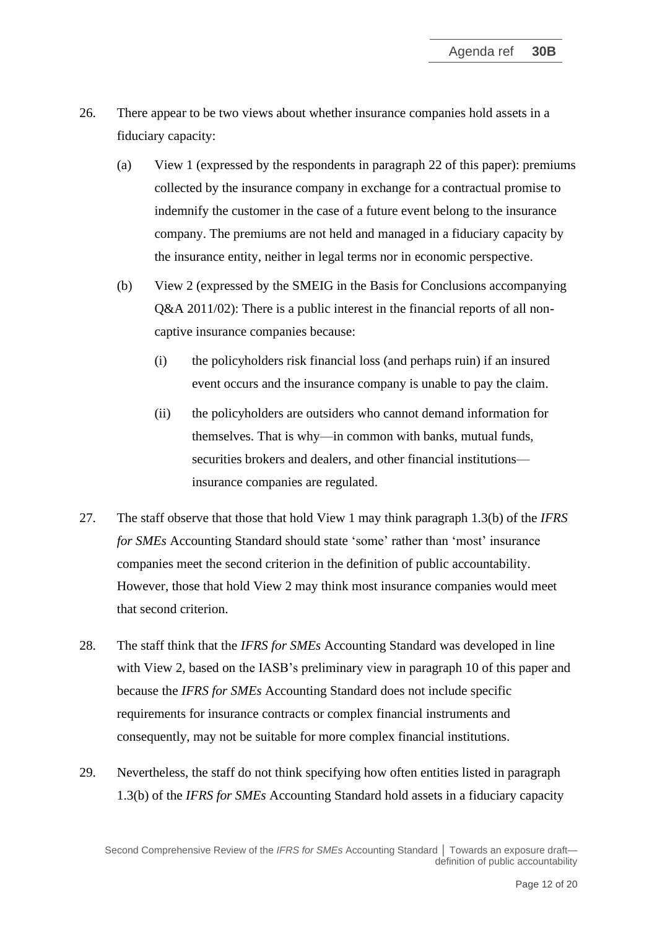- 26. There appear to be two views about whether insurance companies hold assets in a fiduciary capacity:
	- (a) View 1 (expressed by the respondents in paragraph [22](#page-9-0) of this paper): premiums collected by the insurance company in exchange for a contractual promise to indemnify the customer in the case of a future event belong to the insurance company. The premiums are not held and managed in a fiduciary capacity by the insurance entity, neither in legal terms nor in economic perspective.
	- (b) View 2 (expressed by the SMEIG in the Basis for Conclusions accompanying Q&A 2011/02): There is a public interest in the financial reports of all noncaptive insurance companies because:
		- (i) the policyholders risk financial loss (and perhaps ruin) if an insured event occurs and the insurance company is unable to pay the claim.
		- (ii) the policyholders are outsiders who cannot demand information for themselves. That is why—in common with banks, mutual funds, securities brokers and dealers, and other financial institutions insurance companies are regulated.
- 27. The staff observe that those that hold View 1 may think paragraph 1.3(b) of the *IFRS for SMEs* Accounting Standard should state 'some' rather than 'most' insurance companies meet the second criterion in the definition of public accountability. However, those that hold View 2 may think most insurance companies would meet that second criterion.
- 28. The staff think that the *IFRS for SMEs* Accounting Standard was developed in line with View 2, based on the IASB's preliminary view in paragraph [10](#page-3-1) of this paper and because the *IFRS for SMEs* Accounting Standard does not include specific requirements for insurance contracts or complex financial instruments and consequently, may not be suitable for more complex financial institutions.
- <span id="page-11-0"></span>29. Nevertheless, the staff do not think specifying how often entities listed in paragraph 1.3(b) of the *IFRS for SMEs* Accounting Standard hold assets in a fiduciary capacity

Second Comprehensive Review of the *IFRS for SMEs* Accounting Standard | Towards an exposure draft definition of public accountability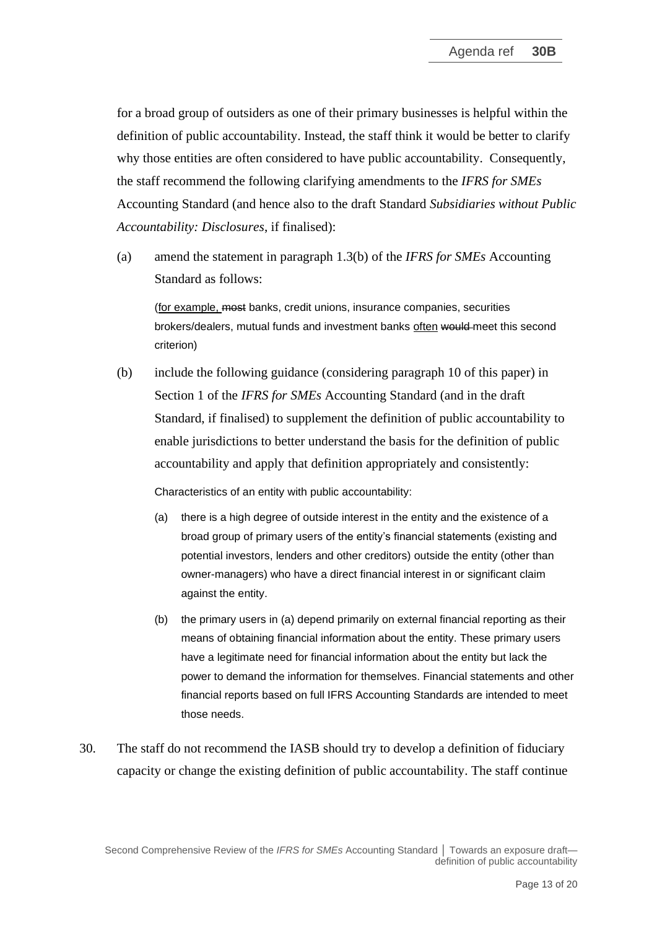for a broad group of outsiders as one of their primary businesses is helpful within the definition of public accountability. Instead, the staff think it would be better to clarify why those entities are often considered to have public accountability. Consequently, the staff recommend the following clarifying amendments to the *IFRS for SMEs* Accounting Standard (and hence also to the draft Standard *Subsidiaries without Public Accountability: Disclosures*, if finalised):

(a) amend the statement in paragraph 1.3(b) of the *IFRS for SMEs* Accounting Standard as follows:

(for example, most banks, credit unions, insurance companies, securities brokers/dealers, mutual funds and investment banks often would meet this second criterion)

(b) include the following guidance (considering paragraph [10](#page-3-1) of this paper) in Section 1 of the *IFRS for SMEs* Accounting Standard (and in the draft Standard, if finalised) to supplement the definition of public accountability to enable jurisdictions to better understand the basis for the definition of public accountability and apply that definition appropriately and consistently:

Characteristics of an entity with public accountability:

- (a) there is a high degree of outside interest in the entity and the existence of a broad group of primary users of the entity's financial statements (existing and potential investors, lenders and other creditors) outside the entity (other than owner-managers) who have a direct financial interest in or significant claim against the entity.
- (b) the primary users in (a) depend primarily on external financial reporting as their means of obtaining financial information about the entity. These primary users have a legitimate need for financial information about the entity but lack the power to demand the information for themselves. Financial statements and other financial reports based on full IFRS Accounting Standards are intended to meet those needs.
- 30. The staff do not recommend the IASB should try to develop a definition of fiduciary capacity or change the existing definition of public accountability. The staff continue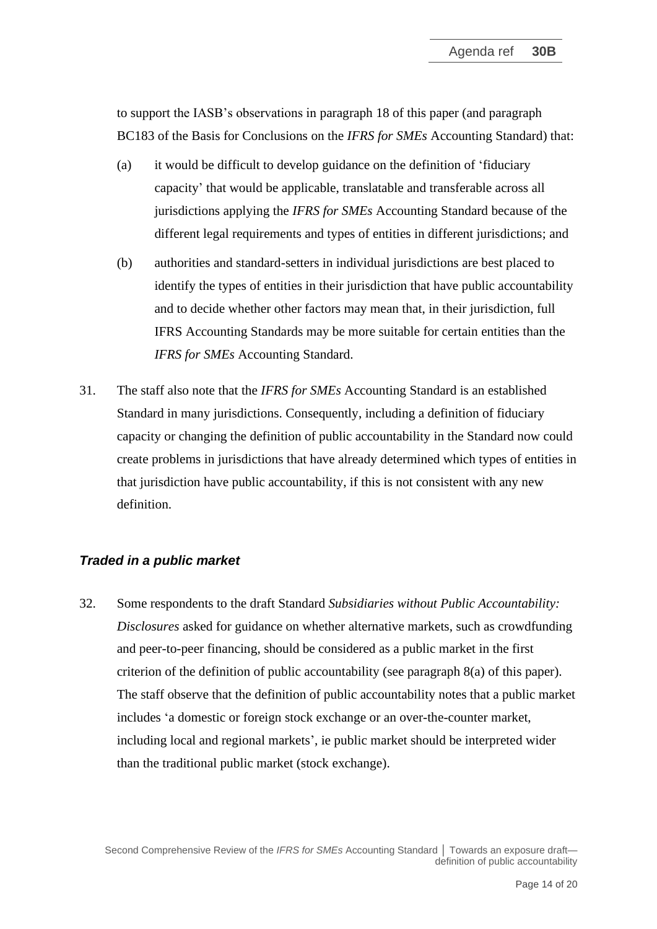to support the IASB's observations in paragraph [18](#page-6-0) of this paper (and paragraph BC183 of the Basis for Conclusions on the *IFRS for SMEs* Accounting Standard) that:

- (a) it would be difficult to develop guidance on the definition of 'fiduciary capacity' that would be applicable, translatable and transferable across all jurisdictions applying the *IFRS for SMEs* Accounting Standard because of the different legal requirements and types of entities in different jurisdictions; and
- (b) authorities and standard-setters in individual jurisdictions are best placed to identify the types of entities in their jurisdiction that have public accountability and to decide whether other factors may mean that, in their jurisdiction, full IFRS Accounting Standards may be more suitable for certain entities than the *IFRS for SMEs* Accounting Standard.
- <span id="page-13-0"></span>31. The staff also note that the *IFRS for SMEs* Accounting Standard is an established Standard in many jurisdictions. Consequently, including a definition of fiduciary capacity or changing the definition of public accountability in the Standard now could create problems in jurisdictions that have already determined which types of entities in that jurisdiction have public accountability, if this is not consistent with any new definition.

# *Traded in a public market*

<span id="page-13-1"></span>32. Some respondents to the draft Standard *Subsidiaries without Public Accountability: Disclosures* asked for guidance on whether alternative markets, such as crowdfunding and peer-to-peer financing, should be considered as a public market in the first criterion of the definition of public accountability (see paragraph [8\(](#page-2-0)a) of this paper). The staff observe that the definition of public accountability notes that a public market includes 'a domestic or foreign stock exchange or an over-the-counter market, including local and regional markets', ie public market should be interpreted wider than the traditional public market (stock exchange).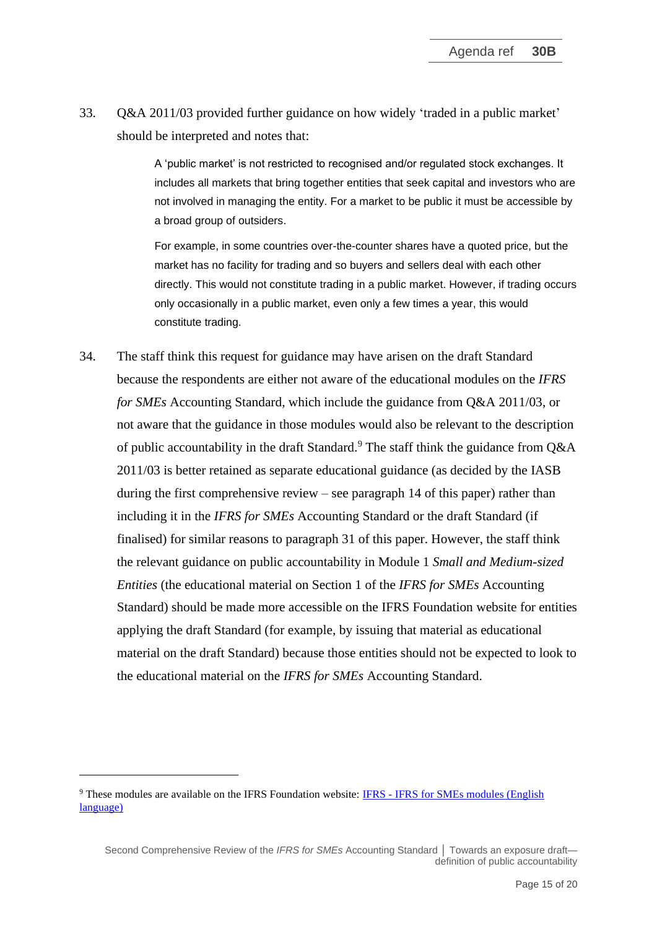33. Q&A 2011/03 provided further guidance on how widely 'traded in a public market' should be interpreted and notes that:

> A 'public market' is not restricted to recognised and/or regulated stock exchanges. It includes all markets that bring together entities that seek capital and investors who are not involved in managing the entity. For a market to be public it must be accessible by a broad group of outsiders.

> For example, in some countries over-the-counter shares have a quoted price, but the market has no facility for trading and so buyers and sellers deal with each other directly. This would not constitute trading in a public market. However, if trading occurs only occasionally in a public market, even only a few times a year, this would constitute trading.

<span id="page-14-0"></span>34. The staff think this request for guidance may have arisen on the draft Standard because the respondents are either not aware of the educational modules on the *IFRS for SMEs* Accounting Standard, which include the guidance from Q&A 2011/03, or not aware that the guidance in those modules would also be relevant to the description of public accountability in the draft Standard.<sup>9</sup> The staff think the guidance from Q&A 2011/03 is better retained as separate educational guidance (as decided by the IASB during the first comprehensive review – see paragraph [14](#page-5-0) of this paper) rather than including it in the *IFRS for SMEs* Accounting Standard or the draft Standard (if finalised) for similar reasons to paragraph [31](#page-13-0) of this paper. However, the staff think the relevant guidance on public accountability in Module 1 *Small and Medium-sized Entities* (the educational material on Section 1 of the *IFRS for SMEs* Accounting Standard) should be made more accessible on the IFRS Foundation website for entities applying the draft Standard (for example, by issuing that material as educational material on the draft Standard) because those entities should not be expected to look to the educational material on the *IFRS for SMEs* Accounting Standard.

<sup>9</sup> These modules are available on the IFRS Foundation website: IFRS - [IFRS for SMEs modules \(English](https://www.ifrs.org/supporting-implementation/supporting-materials-for-the-ifrs-for-smes/modules/sme-modules-english/)  [language\)](https://www.ifrs.org/supporting-implementation/supporting-materials-for-the-ifrs-for-smes/modules/sme-modules-english/)

Second Comprehensive Review of the *IFRS for SMEs* Accounting Standard │ Towards an exposure draft definition of public accountability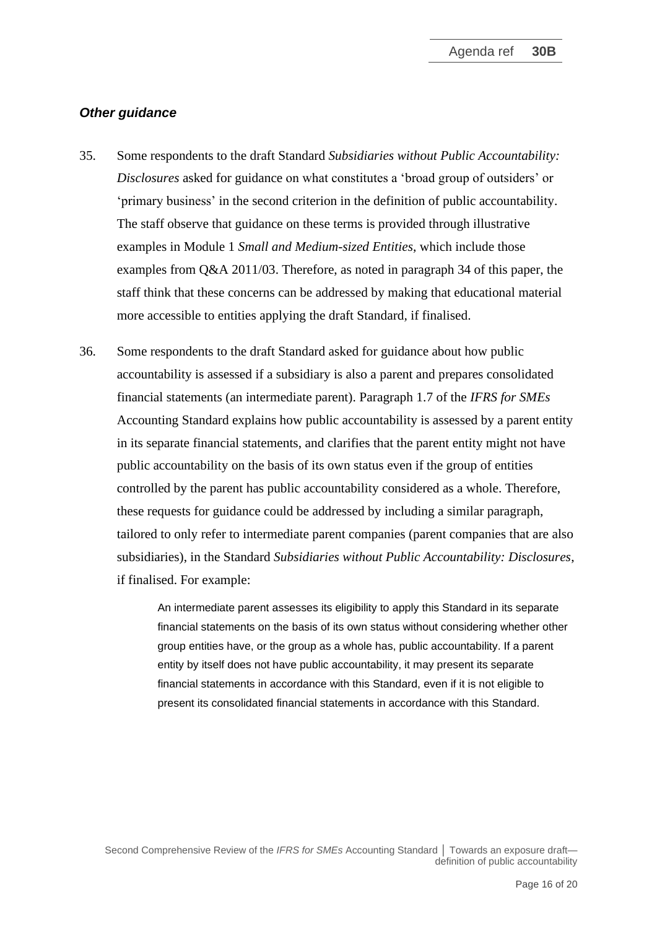#### *Other guidance*

- <span id="page-15-0"></span>35. Some respondents to the draft Standard *Subsidiaries without Public Accountability: Disclosures* asked for guidance on what constitutes a 'broad group of outsiders' or 'primary business' in the second criterion in the definition of public accountability. The staff observe that guidance on these terms is provided through illustrative examples in Module 1 *Small and Medium-sized Entities*, which include those examples from Q&A 2011/03. Therefore, as noted in paragraph [34](#page-14-0) of this paper, the staff think that these concerns can be addressed by making that educational material more accessible to entities applying the draft Standard*,* if finalised.
- <span id="page-15-1"></span>36. Some respondents to the draft Standard asked for guidance about how public accountability is assessed if a subsidiary is also a parent and prepares consolidated financial statements (an intermediate parent). Paragraph 1.7 of the *IFRS for SMEs* Accounting Standard explains how public accountability is assessed by a parent entity in its separate financial statements, and clarifies that the parent entity might not have public accountability on the basis of its own status even if the group of entities controlled by the parent has public accountability considered as a whole. Therefore, these requests for guidance could be addressed by including a similar paragraph, tailored to only refer to intermediate parent companies (parent companies that are also subsidiaries), in the Standard *Subsidiaries without Public Accountability: Disclosures*, if finalised. For example:

An intermediate parent assesses its eligibility to apply this Standard in its separate financial statements on the basis of its own status without considering whether other group entities have, or the group as a whole has, public accountability. If a parent entity by itself does not have public accountability, it may present its separate financial statements in accordance with this Standard, even if it is not eligible to present its consolidated financial statements in accordance with this Standard.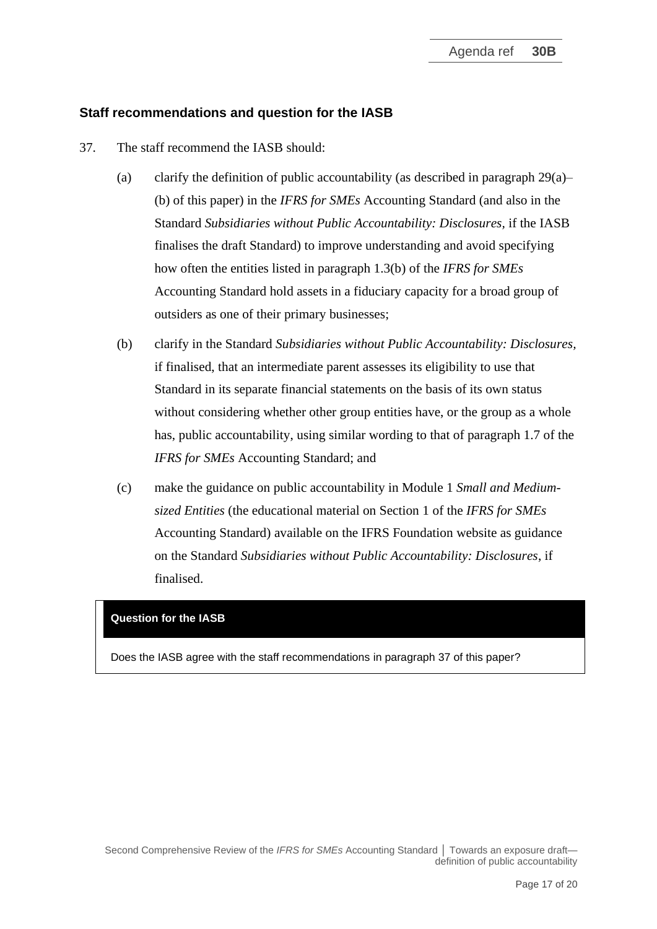## **Staff recommendations and question for the IASB**

- <span id="page-16-0"></span>37. The staff recommend the IASB should:
	- (a) clarify the definition of public accountability (as described in paragraph 29(a)– (b) of this paper) in the *IFRS for SMEs* Accounting Standard (and also in the Standard *Subsidiaries without Public Accountability: Disclosures,* if the IASB finalises the draft Standard) to improve understanding and avoid specifying how often the entities listed in paragraph 1.3(b) of the *IFRS for SMEs* Accounting Standard hold assets in a fiduciary capacity for a broad group of outsiders as one of their primary businesses;
	- (b) clarify in the Standard *Subsidiaries without Public Accountability: Disclosures,* if finalised, that an intermediate parent assesses its eligibility to use that Standard in its separate financial statements on the basis of its own status without considering whether other group entities have, or the group as a whole has, public accountability, using similar wording to that of paragraph 1.7 of the *IFRS for SMEs* Accounting Standard; and
	- (c) make the guidance on public accountability in Module 1 *Small and Mediumsized Entities* (the educational material on Section 1 of the *IFRS for SMEs* Accounting Standard) available on the IFRS Foundation website as guidance on the Standard *Subsidiaries without Public Accountability: Disclosures*, if finalised.

## **Question for the IASB**

Does the IASB agree with the staff recommendations in paragraph [37](#page-16-0) of this paper?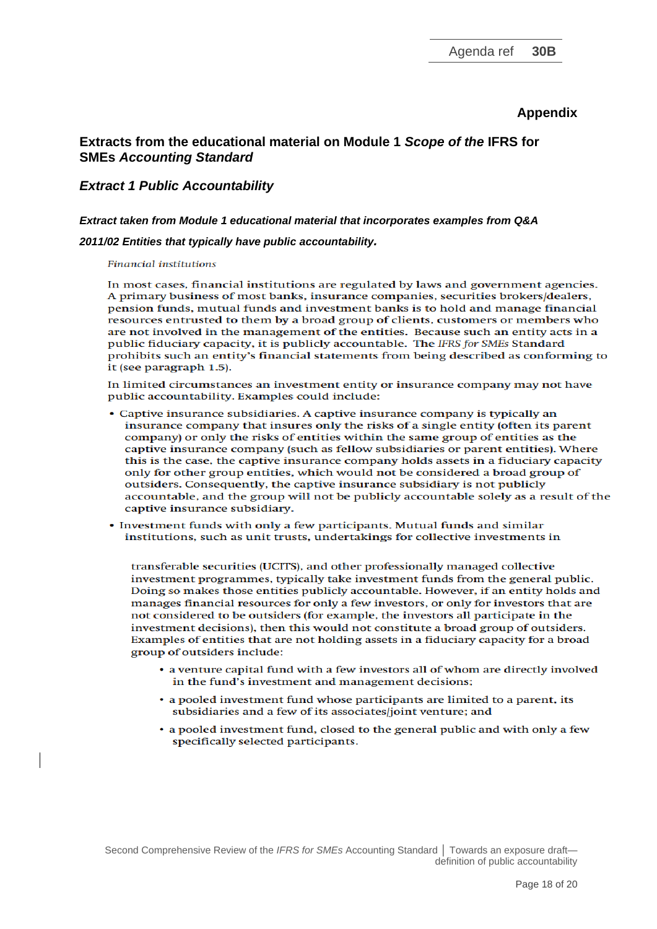#### **Appendix**

#### **Extracts from the educational material on Module 1** *Scope of the* **IFRS for SMEs** *Accounting Standard*

#### *Extract 1 Public Accountability*

#### *Extract taken from Module 1 educational material that incorporates examples from Q&A*

#### *2011/02 Entities that typically have public accountability.*

#### **Financial institutions**

In most cases, financial institutions are regulated by laws and government agencies. A primary business of most banks, insurance companies, securities brokers/dealers, pension funds, mutual funds and investment banks is to hold and manage financial resources entrusted to them by a broad group of clients, customers or members who are not involved in the management of the entities. Because such an entity acts in a public fiduciary capacity, it is publicly accountable. The IFRS for SMEs Standard prohibits such an entity's financial statements from being described as conforming to it (see paragraph 1.5).

In limited circumstances an investment entity or insurance company may not have public accountability. Examples could include:

- Captive insurance subsidiaries. A captive insurance company is typically an insurance company that insures only the risks of a single entity (often its parent company) or only the risks of entities within the same group of entities as the captive insurance company (such as fellow subsidiaries or parent entities). Where this is the case, the captive insurance company holds assets in a fiduciary capacity only for other group entities, which would not be considered a broad group of outsiders. Consequently, the captive insurance subsidiary is not publicly accountable, and the group will not be publicly accountable solely as a result of the captive insurance subsidiary.
- Investment funds with only a few participants. Mutual funds and similar institutions, such as unit trusts, undertakings for collective investments in

transferable securities (UCITS), and other professionally managed collective investment programmes, typically take investment funds from the general public. Doing so makes those entities publicly accountable. However, if an entity holds and manages financial resources for only a few investors, or only for investors that are not considered to be outsiders (for example, the investors all participate in the investment decisions), then this would not constitute a broad group of outsiders. Examples of entities that are not holding assets in a fiduciary capacity for a broad group of outsiders include:

- a venture capital fund with a few investors all of whom are directly involved in the fund's investment and management decisions;
- a pooled investment fund whose participants are limited to a parent, its subsidiaries and a few of its associates/joint venture; and
- a pooled investment fund, closed to the general public and with only a few specifically selected participants.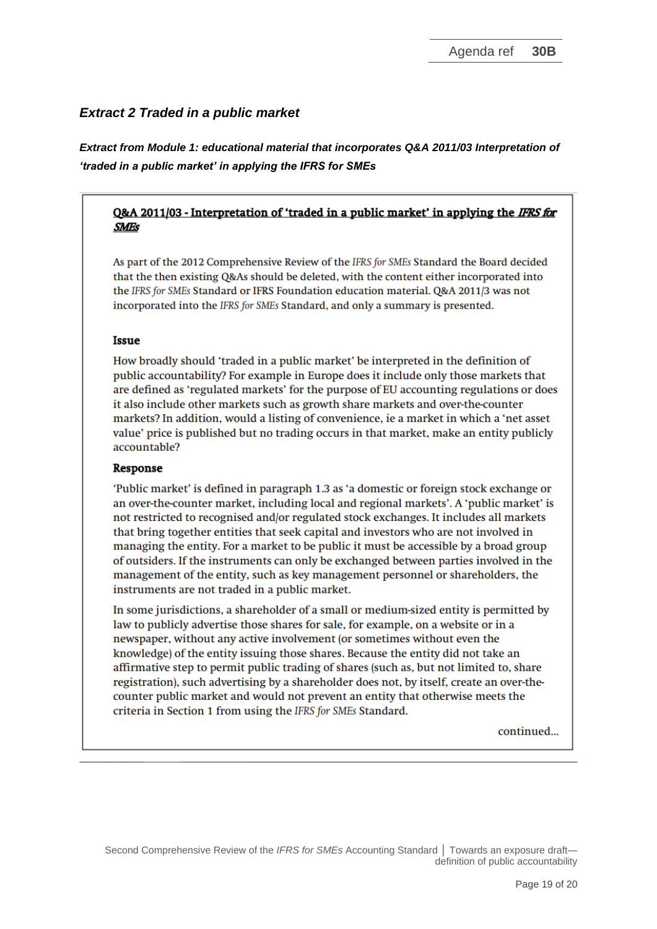## *Extract 2 Traded in a public market*

*Extract from Module 1: educational material that incorporates Q&A 2011/03 Interpretation of 'traded in a public market' in applying the IFRS for SMEs*

#### Q&A 2011/03 - Interpretation of 'traded in a public market' in applying the IFRS for **SMEs**

As part of the 2012 Comprehensive Review of the IFRS for SMEs Standard the Board decided that the then existing Q&As should be deleted, with the content either incorporated into the IFRS for SMEs Standard or IFRS Foundation education material. Q&A 2011/3 was not incorporated into the IFRS for SMEs Standard, and only a summary is presented.

#### Issue

How broadly should 'traded in a public market' be interpreted in the definition of public accountability? For example in Europe does it include only those markets that are defined as 'regulated markets' for the purpose of EU accounting regulations or does it also include other markets such as growth share markets and over-the-counter markets? In addition, would a listing of convenience, ie a market in which a 'net asset value' price is published but no trading occurs in that market, make an entity publicly accountable?

#### Response

'Public market' is defined in paragraph 1.3 as 'a domestic or foreign stock exchange or an over-the-counter market, including local and regional markets'. A 'public market' is not restricted to recognised and/or regulated stock exchanges. It includes all markets that bring together entities that seek capital and investors who are not involved in managing the entity. For a market to be public it must be accessible by a broad group of outsiders. If the instruments can only be exchanged between parties involved in the management of the entity, such as key management personnel or shareholders, the instruments are not traded in a public market.

In some jurisdictions, a shareholder of a small or medium-sized entity is permitted by law to publicly advertise those shares for sale, for example, on a website or in a newspaper, without any active involvement (or sometimes without even the knowledge) of the entity issuing those shares. Because the entity did not take an affirmative step to permit public trading of shares (such as, but not limited to, share registration), such advertising by a shareholder does not, by itself, create an over-thecounter public market and would not prevent an entity that otherwise meets the criteria in Section 1 from using the IFRS for SMEs Standard.

continued...